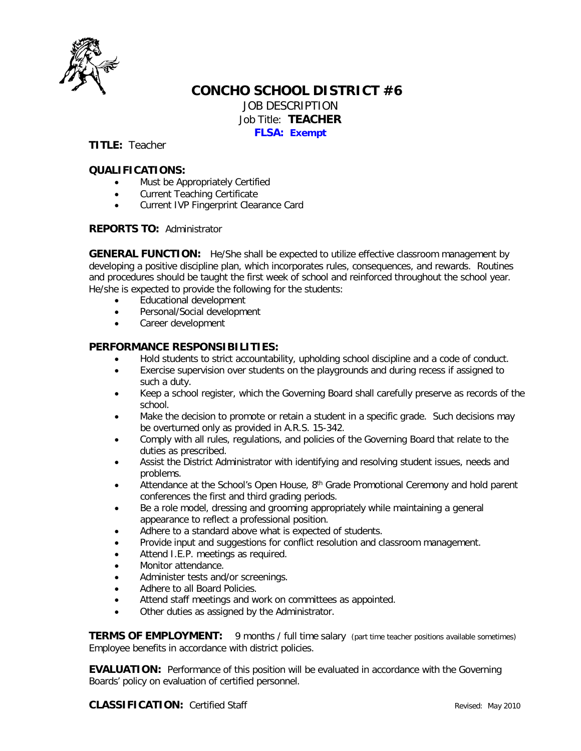

## **CONCHO SCHOOL DISTRICT #6** JOB DESCRIPTION Job Title: **TEACHER FLSA: Exempt**

**TITLE:** Teacher

### **QUALIFICATIONS:**

- Must be Appropriately Certified
- Current Teaching Certificate
- Current IVP Fingerprint Clearance Card

### **REPORTS TO:** Administrator

**GENERAL FUNCTION:** He/She shall be expected to utilize effective classroom management by developing a positive discipline plan, which incorporates rules, consequences, and rewards. Routines and procedures should be taught the first week of school and reinforced throughout the school year. He/she is expected to provide the following for the students:

- Educational development
- Personal/Social development
- Career development

### **PERFORMANCE RESPONSIBILITIES:**

- Hold students to strict accountability, upholding school discipline and a code of conduct.
- Exercise supervision over students on the playgrounds and during recess if assigned to such a duty.
- Keep a school register, which the Governing Board shall carefully preserve as records of the school.
- Make the decision to promote or retain a student in a specific grade. Such decisions may be overturned only as provided in A.R.S. 15-342.
- Comply with all rules, regulations, and policies of the Governing Board that relate to the duties as prescribed.
- Assist the District Administrator with identifying and resolving student issues, needs and problems.
- Attendance at the School's Open House, 8<sup>th</sup> Grade Promotional Ceremony and hold parent conferences the first and third grading periods.
- Be a role model, dressing and grooming appropriately while maintaining a general appearance to reflect a professional position.
- Adhere to a standard above what is expected of students.
- Provide input and suggestions for conflict resolution and classroom management.
- Attend I.E.P. meetings as required.
- Monitor attendance.
- Administer tests and/or screenings.
- Adhere to all Board Policies.
- Attend staff meetings and work on committees as appointed.
- Other duties as assigned by the Administrator.

**TERMS OF EMPLOYMENT:** 9 months / full time salary (part time teacher positions available sometimes) Employee benefits in accordance with district policies.

**EVALUATION:** Performance of this position will be evaluated in accordance with the Governing Boards' policy on evaluation of certified personnel.

**CLASSIFICATION:** Certified Staff **Revised:** May 2010